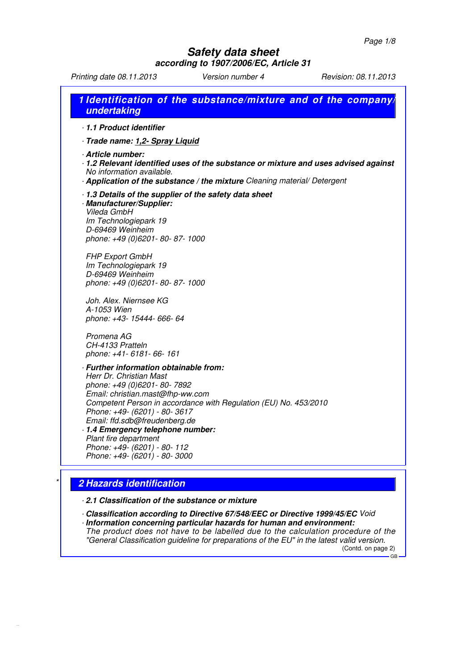## **Safety data sheet according to 1907/2006/EC, Article 31**

Printing date 08.11.2013 Version number 4 Revision: 08.11.2013

|             | 1.1 Product identifier                                                                                                                                                                                                                                                                                                                                                                                |
|-------------|-------------------------------------------------------------------------------------------------------------------------------------------------------------------------------------------------------------------------------------------------------------------------------------------------------------------------------------------------------------------------------------------------------|
|             | - Trade name: 1,2- Spray Liquid                                                                                                                                                                                                                                                                                                                                                                       |
|             | Article number:<br>1.2 Relevant identified uses of the substance or mixture and uses advised against<br>No information available.<br>- Application of the substance / the mixture Cleaning material/ Detergent                                                                                                                                                                                        |
| Vileda GmbH | 1.3 Details of the supplier of the safety data sheet<br>· Manufacturer/Supplier:<br>Im Technologiepark 19<br>D-69469 Weinheim<br>phone: +49 (0)6201-80-87-1000                                                                                                                                                                                                                                        |
|             | <b>FHP Export GmbH</b><br>Im Technologiepark 19<br>D-69469 Weinheim<br>phone: +49 (0)6201-80-87-1000                                                                                                                                                                                                                                                                                                  |
| A-1053 Wien | Joh. Alex. Niernsee KG<br>phone: +43- 15444- 666- 64                                                                                                                                                                                                                                                                                                                                                  |
| Promena AG  | CH-4133 Pratteln<br>phone: +41- 6181- 66- 161                                                                                                                                                                                                                                                                                                                                                         |
|             | · Further information obtainable from:<br>Herr Dr. Christian Mast<br>phone: +49 (0)6201-80-7892<br>Email: christian.mast@fhp-ww.com<br>Competent Person in accordance with Regulation (EU) No. 453/2010<br>Phone: +49- (6201) - 80-3617<br>Email: ffd.sdb@freudenberg.de<br>1.4 Emergency telephone number:<br>Plant fire department<br>Phone: +49- (6201) - 80- 112<br>Phone: +49- (6201) - 80- 3000 |

## · **2.1 Classification of the substance or mixture**

· **Classification according to Directive 67/548/EEC or Directive 1999/45/EC** Void

· **Information concerning particular hazards for human and environment:** The product does not have to be labelled due to the calculation procedure of the "General Classification guideline for preparations of the EU" in the latest valid version. (Contd. on page 2)

GB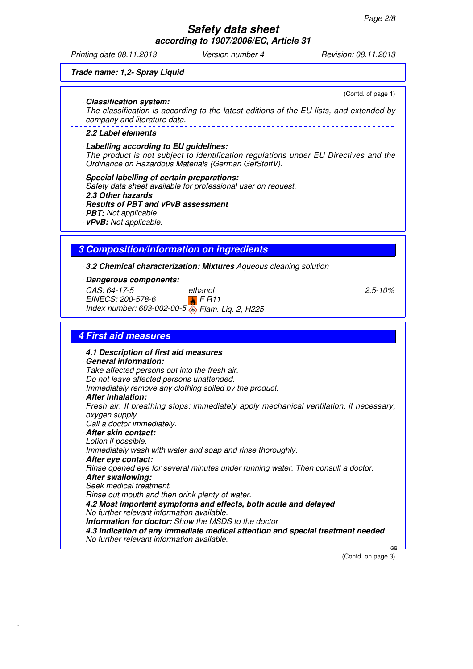**according to 1907/2006/EC, Article 31**

Printing date 08.11.2013 Version number 4 Revision: 08.11.2013

(Contd. of page 1)

#### **Trade name: 1,2- Spray Liquid**

· **Classification system:**

The classification is according to the latest editions of the EU-lists, and extended by company and literature data.

#### · **2.2 Label elements**

- · **Labelling according to EU guidelines:** The product is not subject to identification regulations under EU Directives and the Ordinance on Hazardous Materials (German GefStoffV).
- · **Special labelling of certain preparations:** Safety data sheet available for professional user on request. · **2.3 Other hazards**
- 
- · **Results of PBT and vPvB assessment**
- · **PBT:** Not applicable.
- · **vPvB:** Not applicable.

### **3 Composition/information on ingredients**

· **3.2 Chemical characterization: Mixtures** Aqueous cleaning solution

### · **Dangerous components:**

CAS: 64-17-5 EINECS: 200-578-6 Index number: 603-002-00-5 Flam. Liq. 2, H225 ethanol  $F R11$ 

2.5-10%

### **4 First aid measures**

- · **4.1 Description of first aid measures** · **General information:** Take affected persons out into the fresh air. Do not leave affected persons unattended. Immediately remove any clothing soiled by the product. · **After inhalation:** Fresh air. If breathing stops: immediately apply mechanical ventilation, if necessary, oxygen supply. Call a doctor immediately. · **After skin contact:** Lotion if possible. Immediately wash with water and soap and rinse thoroughly. · **After eye contact:** Rinse opened eye for several minutes under running water. Then consult a doctor. · **After swallowing:** Seek medical treatment. Rinse out mouth and then drink plenty of water. · **4.2 Most important symptoms and effects, both acute and delayed**
- No further relevant information available.
- · **Information for doctor:** Show the MSDS to the doctor
- · **4.3 Indication of any immediate medical attention and special treatment needed** No further relevant information available.

(Contd. on page 3)

GB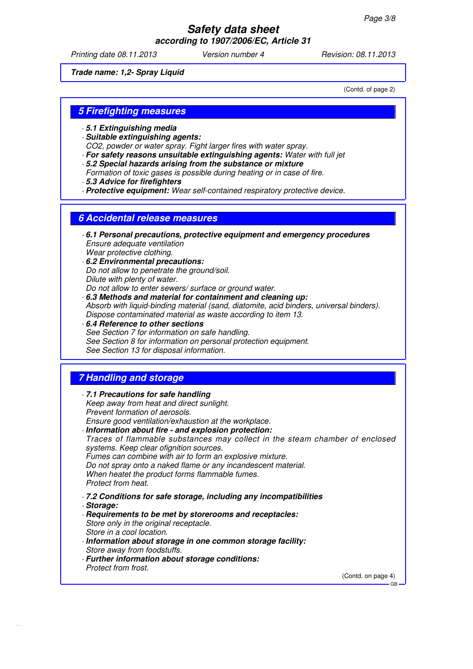**according to 1907/2006/EC, Article 31**

Printing date 08.11.2013 Version number 4 Revision: 08.11.2013

**Trade name: 1,2- Spray Liquid**

(Contd. of page 2)

### **5 Firefighting measures**

- · **5.1 Extinguishing media**
- · **Suitable extinguishing agents:**
- CO2, powder or water spray. Fight larger fires with water spray.
- · **For safety reasons unsuitable extinguishing agents:** Water with full jet
- · **5.2 Special hazards arising from the substance or mixture** Formation of toxic gases is possible during heating or in case of fire.
- · **5.3 Advice for firefighters**
- · **Protective equipment:** Wear self-contained respiratory protective device.

### **6 Accidental release measures**

- · **6.1 Personal precautions, protective equipment and emergency procedures** Ensure adequate ventilation Wear protective clothing.
- · **6.2 Environmental precautions:** Do not allow to penetrate the ground/soil. Dilute with plenty of water. Do not allow to enter sewers/ surface or ground water.
- · **6.3 Methods and material for containment and cleaning up:** Absorb with liquid-binding material (sand, diatomite, acid binders, universal binders). Dispose contaminated material as waste according to item 13.
- · **6.4 Reference to other sections** See Section 7 for information on safe handling. See Section 8 for information on personal protection equipment. See Section 13 for disposal information.

### **7 Handling and storage**

- · **7.1 Precautions for safe handling** Keep away from heat and direct sunlight. Prevent formation of aerosols. Ensure good ventilation/exhaustion at the workplace.
- · **Information about fire and explosion protection:** Traces of flammable substances may collect in the steam chamber of enclosed systems. Keep clear ofignition sources. Fumes can combine with air to form an explosive mixture. Do not spray onto a naked flame or any incandescent material. When heatet the product forms flammable fumes. Protect from heat.
- · **7.2 Conditions for safe storage, including any incompatibilities** · **Storage:**
- · **Requirements to be met by storerooms and receptacles:** Store only in the original receptacle. Store in a cool location.
- · **Information about storage in one common storage facility:** Store away from foodstuffs.
- · **Further information about storage conditions:** Protect from frost.

(Contd. on page 4)

GB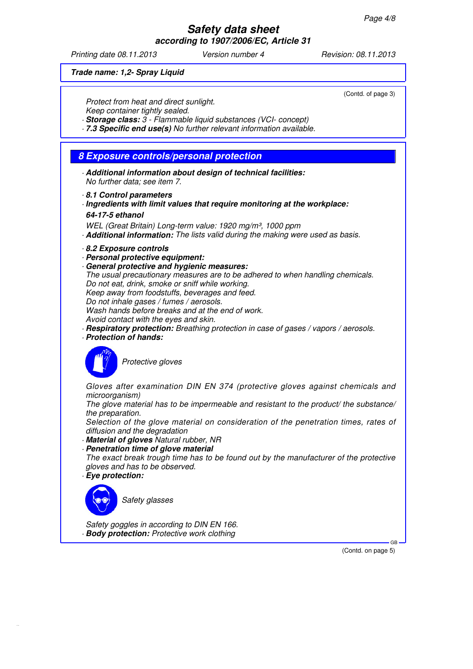**according to 1907/2006/EC, Article 31**

Printing date 08.11.2013 Version number 4 Revision: 08.11.2013

#### **Trade name: 1,2- Spray Liquid**

Protect from heat and direct sunlight.

Keep container tightly sealed.

· **Storage class:** 3 - Flammable liquid substances (VCI- concept)

· **7.3 Specific end use(s)** No further relevant information available.

### **8 Exposure controls/personal protection**

- · **Additional information about design of technical facilities:** No further data; see item 7.
- · **8.1 Control parameters**
- · **Ingredients with limit values that require monitoring at the workplace: 64-17-5 ethanol**

WEL (Great Britain) Long-term value: 1920 mg/m<sup>3</sup>, 1000 ppm · **Additional information:** The lists valid during the making were used as basis.

· **8.2 Exposure controls**

- · **Personal protective equipment:**
- · **General protective and hygienic measures:** The usual precautionary measures are to be adhered to when handling chemicals. Do not eat, drink, smoke or sniff while working. Keep away from foodstuffs, beverages and feed. Do not inhale gases / fumes / aerosols. Wash hands before breaks and at the end of work.

Avoid contact with the eyes and skin.

- · **Respiratory protection:** Breathing protection in case of gases / vapors / aerosols.
- · **Protection of hands:**



Protective gloves

Gloves after examination DIN EN 374 (protective gloves against chemicals and microorganism)

The glove material has to be impermeable and resistant to the product/ the substance/ the preparation.

Selection of the glove material on consideration of the penetration times, rates of diffusion and the degradation

- · **Material of gloves** Natural rubber, NR
- · **Penetration time of glove material** The exact break trough time has to be found out by the manufacturer of the protective gloves and has to be observed.
- · **Eye protection:**



Safety goggles in according to DIN EN 166. · **Body protection:** Protective work clothing

> GB (Contd. on page 5)

(Contd. of page 3)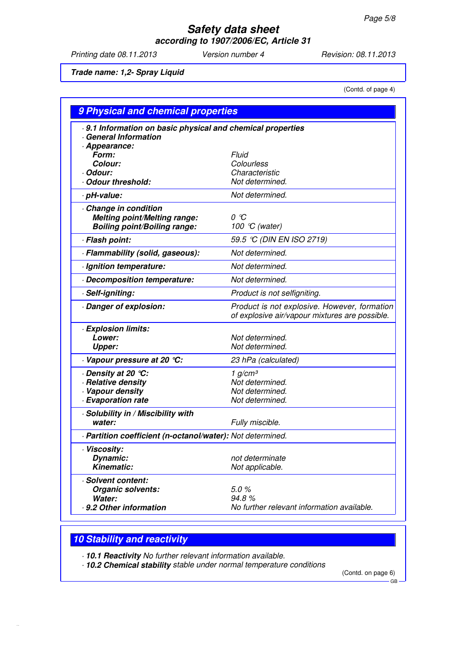**according to 1907/2006/EC, Article 31**

Printing date 08.11.2013 Version number 4 Revision: 08.11.2013

**Trade name: 1,2- Spray Liquid**

(Contd. of page 4)

| 9 Physical and chemical properties                                                                |                                                                                                |  |  |  |
|---------------------------------------------------------------------------------------------------|------------------------------------------------------------------------------------------------|--|--|--|
| .9.1 Information on basic physical and chemical properties<br><b>General Information</b>          |                                                                                                |  |  |  |
| · Appearance:<br>Form:<br>Colour:<br>· Odour:<br>Odour threshold:                                 | Fluid<br>Colourless<br>Characteristic<br>Not determined.                                       |  |  |  |
| · pH-value:                                                                                       | Not determined.                                                                                |  |  |  |
| Change in condition<br><b>Melting point/Melting range:</b><br><b>Boiling point/Boiling range:</b> | οc<br>100 °C (water)                                                                           |  |  |  |
| · Flash point:                                                                                    | 59.5 ℃ (DIN EN ISO 2719)                                                                       |  |  |  |
| · Flammability (solid, gaseous):                                                                  | Not determined.                                                                                |  |  |  |
| · Ignition temperature:                                                                           | Not determined.                                                                                |  |  |  |
| Decomposition temperature:                                                                        | Not determined.                                                                                |  |  |  |
| · Self-igniting:                                                                                  | Product is not selfigniting.                                                                   |  |  |  |
| Danger of explosion:                                                                              | Product is not explosive. However, formation<br>of explosive air/vapour mixtures are possible. |  |  |  |
| · Explosion limits:<br>Lower:<br><b>Upper:</b>                                                    | Not determined.<br>Not determined.                                                             |  |  |  |
| Vapour pressure at 20 °C:                                                                         | 23 hPa (calculated)                                                                            |  |  |  |
| · Density at 20 ℃:<br>· Relative density<br>· Vapour density<br>· Evaporation rate                | 1 $g/cm^3$<br>Not determined.<br>Not determined.<br>Not determined.                            |  |  |  |
| · Solubility in / Miscibility with<br>water:                                                      | Fully miscible.                                                                                |  |  |  |
| · Partition coefficient (n-octanol/water): Not determined.                                        |                                                                                                |  |  |  |
| · Viscosity:<br>Dynamic:<br><b>Kinematic:</b>                                                     | not determinate<br>Not applicable.                                                             |  |  |  |
| · Solvent content:<br>Organic solvents:<br>Water:<br>9.2 Other information                        | 5.0%<br>94.8%<br>No further relevant information available.                                    |  |  |  |

## **10 Stability and reactivity**

· **10.1 Reactivity** No further relevant information available.

· **10.2 Chemical stability** stable under normal temperature conditions

(Contd. on page 6) GB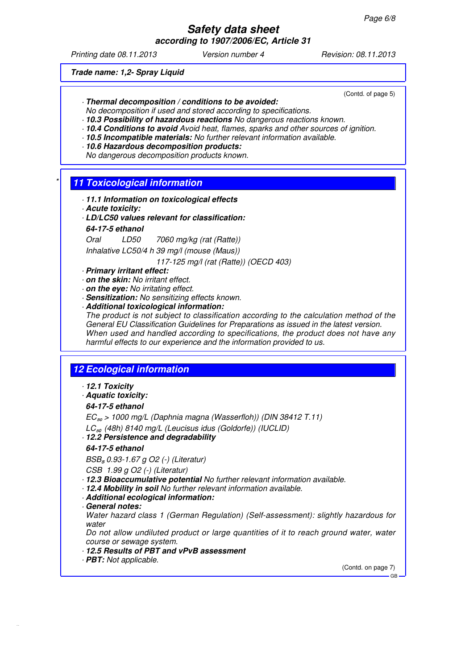**according to 1907/2006/EC, Article 31**

Printing date 08.11.2013 Version number 4 Revision: 08.11.2013

(Contd. of page 5)

**Trade name: 1,2- Spray Liquid**

- 
- · **Thermal decomposition / conditions to be avoided:**
- No decomposition if used and stored according to specifications.
- · **10.3 Possibility of hazardous reactions** No dangerous reactions known.
- · **10.4 Conditions to avoid** Avoid heat, flames, sparks and other sources of ignition. · **10.5 Incompatible materials:** No further relevant information available.
- 
- · **10.6 Hazardous decomposition products:** No dangerous decomposition products known.
- **11 Toxicological information** 
	- · **11.1 Information on toxicological effects**
	- · **Acute toxicity:**
	- · **LD/LC50 values relevant for classification:**

#### **64-17-5 ethanol**

Oral LD50 7060 mg/kg (rat (Ratte))

Inhalative LC50/4 h 39 mg/l (mouse (Maus))

117-125 mg/l (rat (Ratte)) (OECD 403)

- · **Primary irritant effect:**
- · **on the skin:** No irritant effect.
- · **on the eye:** No irritating effect.
- · **Sensitization:** No sensitizing effects known.
- · **Additional toxicological information:**

The product is not subject to classification according to the calculation method of the General EU Classification Guidelines for Preparations as issued in the latest version. When used and handled according to specifications, the product does not have any harmful effects to our experience and the information provided to us.

## **12 Ecological information**

- · **12.1 Toxicity**
- · **Aquatic toxicity:**

### **64-17-5 ethanol**

 $EC_{50}$  > 1000 mg/L (Daphnia magna (Wasserfloh)) (DIN 38412 T.11)

- $LC_{50}$  (48h) 8140 mg/L (Leucisus idus (Goldorfe)) (IUCLID)
- · **12.2 Persistence and degradability**

### **64-17-5 ethanol**

 $BSB<sub>s</sub>$  0.93-1.67 g O2 (-) (Literatur)

- CSB 1.99 g O2 (-) (Literatur)
- · **12.3 Bioaccumulative potential** No further relevant information available.
- · **12.4 Mobility in soil** No further relevant information available.
- · **Additional ecological information:**
- · **General notes:**

Water hazard class 1 (German Regulation) (Self-assessment): slightly hazardous for water

Do not allow undiluted product or large quantities of it to reach ground water, water course or sewage system.

- · **12.5 Results of PBT and vPvB assessment**
- · **PBT:** Not applicable.

(Contd. on page 7) GB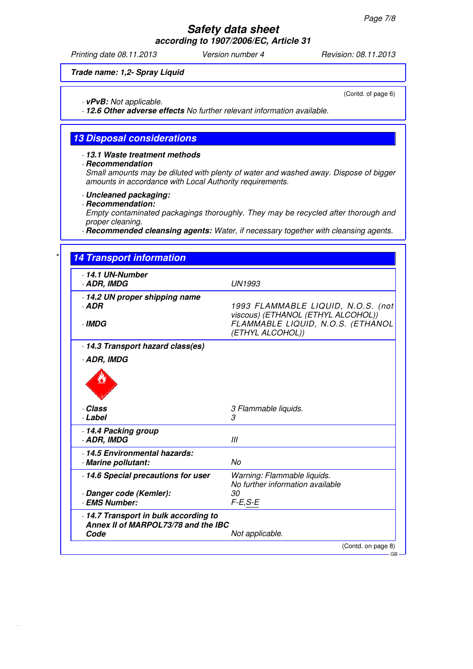**according to 1907/2006/EC, Article 31**

Printing date 08.11.2013 Version number 4 Revision: 08.11.2013

#### **Trade name: 1,2- Spray Liquid**

· **vPvB:** Not applicable.

· **12.6 Other adverse effects** No further relevant information available.

### **13 Disposal considerations**

### · **13.1 Waste treatment methods**

· **Recommendation**

Small amounts may be diluted with plenty of water and washed away. Dispose of bigger amounts in accordance with Local Authority requirements.

- · **Uncleaned packaging:**
- · **Recommendation:**

Empty contaminated packagings thoroughly. They may be recycled after thorough and proper cleaning.

· **Recommended cleansing agents:** Water, if necessary together with cleansing agents.

| $\cdot$ 14.1 UN-Number<br>· ADR, IMDG                                                                                                                                                                                                                  | <b>UN1993</b>                                                            |
|--------------------------------------------------------------------------------------------------------------------------------------------------------------------------------------------------------------------------------------------------------|--------------------------------------------------------------------------|
| 14.2 UN proper shipping name<br>· ADR                                                                                                                                                                                                                  | 1993 FLAMMABLE LIQUID, N.O.S. (not<br>viscous) (ETHANOL (ETHYL ALCOHOL)) |
| · IMDG                                                                                                                                                                                                                                                 | FLAMMABLE LIQUID, N.O.S. (ETHANOL<br>(ETHYL ALCOHOL))                    |
| 14.3 Transport hazard class(es)                                                                                                                                                                                                                        |                                                                          |
| · ADR, IMDG                                                                                                                                                                                                                                            |                                                                          |
|                                                                                                                                                                                                                                                        |                                                                          |
| · Class<br>· Label                                                                                                                                                                                                                                     | 3 Flammable liquids.<br>3                                                |
|                                                                                                                                                                                                                                                        | III                                                                      |
|                                                                                                                                                                                                                                                        | No                                                                       |
|                                                                                                                                                                                                                                                        | Warning: Flammable liquids.<br>No further information available          |
|                                                                                                                                                                                                                                                        | 30<br>$F-E, S-E$                                                         |
| 14.4 Packing group<br>· ADR, IMDG<br>· 14.5 Environmental hazards:<br>· Marine pollutant:<br>14.6 Special precautions for user<br>Danger code (Kemler):<br>· EMS Number:<br>14.7 Transport in bulk according to<br>Annex II of MARPOL73/78 and the IBC |                                                                          |

(Contd. of page 6)